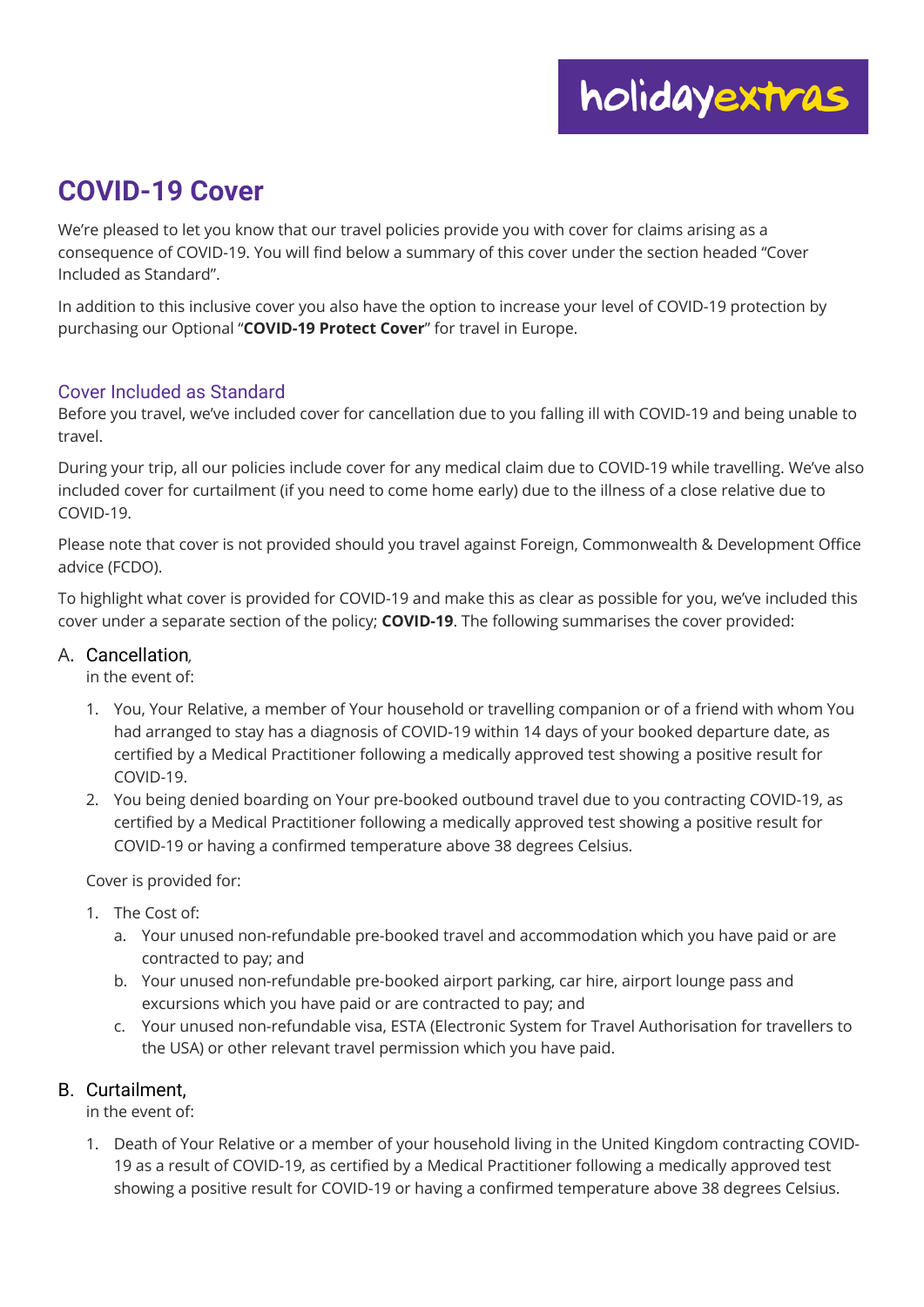# **COVID-19 Cover**

We're pleased to let you know that our travel policies provide you with cover for claims arising as a consequence of COVID-19. You will find below a summary of this cover under the section headed "Cover Included as Standard".

In addition to this inclusive cover you also have the option to increase your level of COVID-19 protection by purchasing our Optional "**COVID-19 Protect Cover**" for travel in Europe.

## Cover Included as Standard

Before you travel, we've included cover for cancellation due to you falling ill with COVID-19 and being unable to travel.

During your trip, all our policies include cover for any medical claim due to COVID-19 while travelling. We've also included cover for curtailment (if you need to come home early) due to the illness of a close relative due to COVID-19.

Please note that cover is not provided should you travel against Foreign, Commonwealth & Development Office advice (FCDO).

To highlight what cover is provided for COVID-19 and make this as clear as possible for you, we've included this cover under a separate section of the policy; **COVID-19**. The following summarises the cover provided:

## A. Cancellation*,*

in the event of:

- 1. You, Your Relative, a member of Your household or travelling companion or of a friend with whom You had arranged to stay has a diagnosis of COVID-19 within 14 days of your booked departure date, as certified by a Medical Practitioner following a medically approved test showing a positive result for COVID-19.
- 2. You being denied boarding on Your pre-booked outbound travel due to you contracting COVID-19, as certified by a Medical Practitioner following a medically approved test showing a positive result for COVID-19 or having a confirmed temperature above 38 degrees Celsius.

Cover is provided for:

- 1. The Cost of:
	- a. Your unused non-refundable pre-booked travel and accommodation which you have paid or are contracted to pay; and
	- b. Your unused non-refundable pre-booked airport parking, car hire, airport lounge pass and excursions which you have paid or are contracted to pay; and
	- c. Your unused non-refundable visa, ESTA (Electronic System for Travel Authorisation for travellers to the USA) or other relevant travel permission which you have paid.

## B. Curtailment,

in the event of:

1. Death of Your Relative or a member of your household living in the United Kingdom contracting COVID-19 as a result of COVID-19, as certified by a Medical Practitioner following a medically approved test showing a positive result for COVID-19 or having a confirmed temperature above 38 degrees Celsius.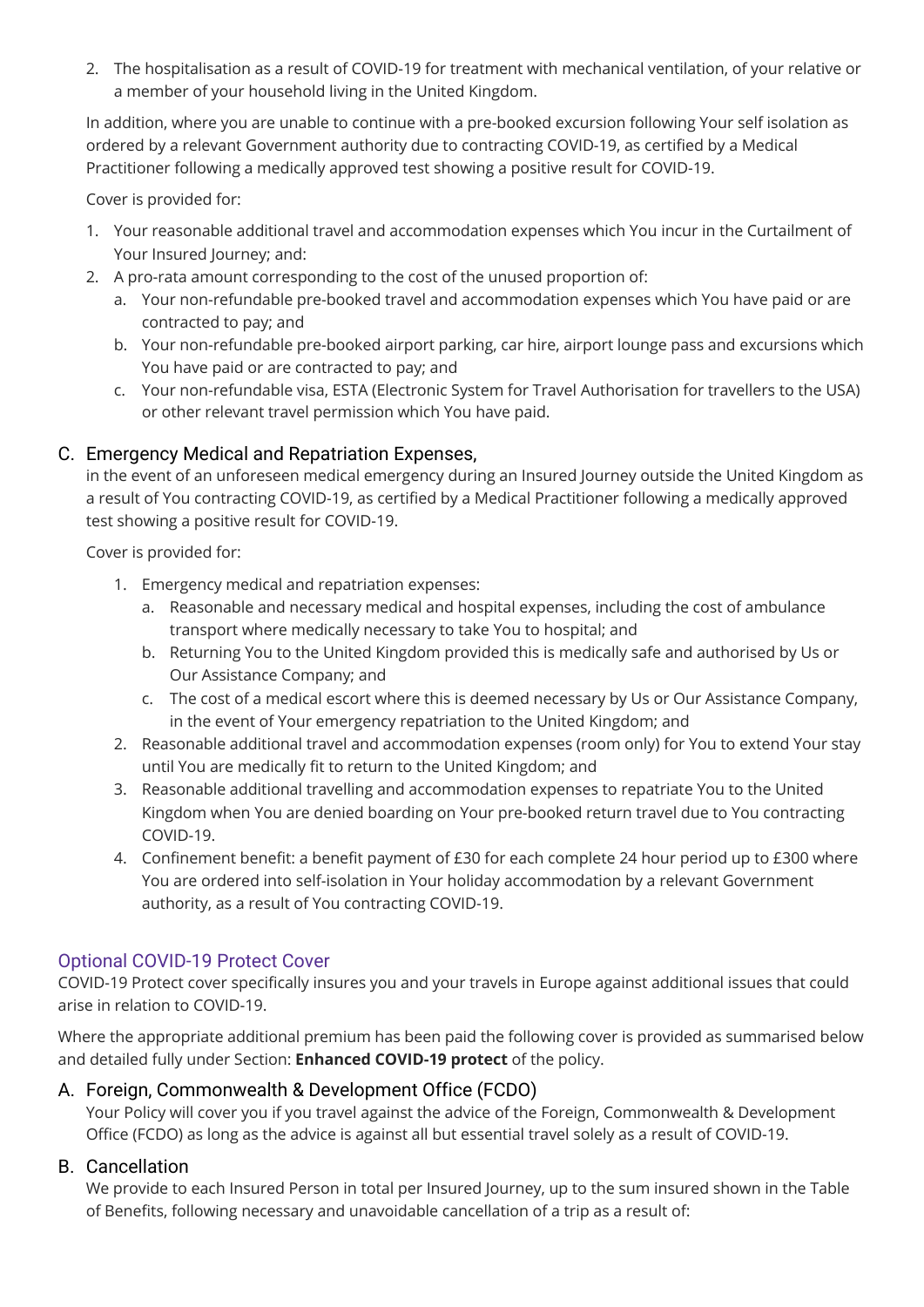2. The hospitalisation as a result of COVID-19 for treatment with mechanical ventilation, of your relative or a member of your household living in the United Kingdom.

In addition, where you are unable to continue with a pre-booked excursion following Your self isolation as ordered by a relevant Government authority due to contracting COVID-19, as certified by a Medical Practitioner following a medically approved test showing a positive result for COVID-19.

Cover is provided for:

- 1. Your reasonable additional travel and accommodation expenses which You incur in the Curtailment of Your Insured Journey; and:
- 2. A pro-rata amount corresponding to the cost of the unused proportion of:
	- a. Your non-refundable pre-booked travel and accommodation expenses which You have paid or are contracted to pay; and
	- b. Your non-refundable pre-booked airport parking, car hire, airport lounge pass and excursions which You have paid or are contracted to pay; and
	- c. Your non-refundable visa, ESTA (Electronic System for Travel Authorisation for travellers to the USA) or other relevant travel permission which You have paid.

# C. Emergency Medical and Repatriation Expenses,

in the event of an unforeseen medical emergency during an Insured Journey outside the United Kingdom as a result of You contracting COVID-19, as certified by a Medical Practitioner following a medically approved test showing a positive result for COVID-19.

Cover is provided for:

- 1. Emergency medical and repatriation expenses:
	- a. Reasonable and necessary medical and hospital expenses, including the cost of ambulance transport where medically necessary to take You to hospital; and
	- b. Returning You to the United Kingdom provided this is medically safe and authorised by Us or Our Assistance Company; and
	- c. The cost of a medical escort where this is deemed necessary by Us or Our Assistance Company, in the event of Your emergency repatriation to the United Kingdom; and
- 2. Reasonable additional travel and accommodation expenses (room only) for You to extend Your stay until You are medically fit to return to the United Kingdom; and
- 3. Reasonable additional travelling and accommodation expenses to repatriate You to the United Kingdom when You are denied boarding on Your pre-booked return travel due to You contracting COVID-19.
- 4. Confinement benefit: a benefit payment of £30 for each complete 24 hour period up to £300 where You are ordered into self-isolation in Your holiday accommodation by a relevant Government authority, as a result of You contracting COVID-19.

## Optional COVID-19 Protect Cover

COVID-19 Protect cover specifically insures you and your travels in Europe against additional issues that could arise in relation to COVID-19.

Where the appropriate additional premium has been paid the following cover is provided as summarised below and detailed fully under Section: **Enhanced COVID-19 protect** of the policy.

## A. Foreign, Commonwealth & Development Office (FCDO)

Your Policy will cover you if you travel against the advice of the Foreign, Commonwealth & Development Office (FCDO) as long as the advice is against all but essential travel solely as a result of COVID-19.

## B. Cancellation

We provide to each Insured Person in total per Insured Journey, up to the sum insured shown in the Table of Benefits, following necessary and unavoidable cancellation of a trip as a result of: